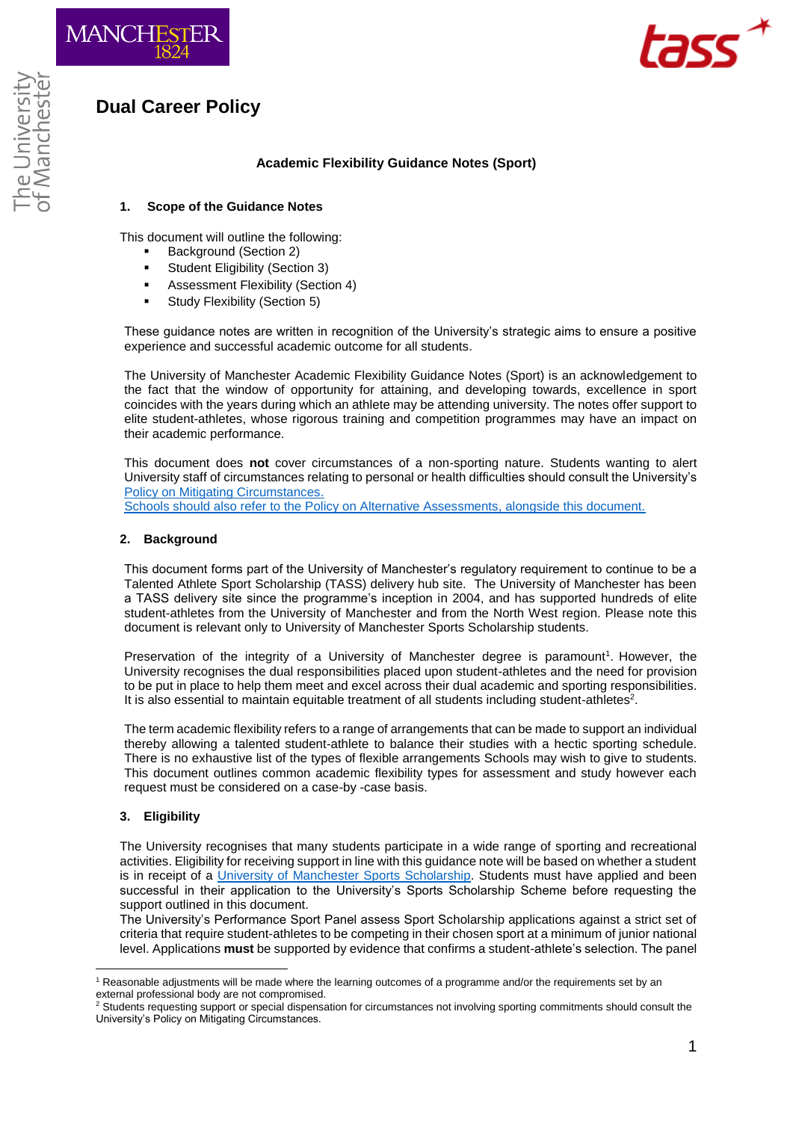





# **Academic Flexibility Guidance Notes (Sport)**

## **1. Scope of the Guidance Notes**

This document will outline the following:

- Background (Section 2)
- **Student Eligibility (Section 3)**
- Assessment Flexibility (Section 4)
- **Study Flexibility (Section 5)**

These guidance notes are written in recognition of the University's strategic aims to ensure a positive experience and successful academic outcome for all students.

The University of Manchester Academic Flexibility Guidance Notes (Sport) is an acknowledgement to the fact that the window of opportunity for attaining, and developing towards, excellence in sport coincides with the years during which an athlete may be attending university. The notes offer support to elite student-athletes, whose rigorous training and competition programmes may have an impact on their academic performance.

This document does **not** cover circumstances of a non-sporting nature. Students wanting to alert University staff of circumstances relating to personal or health difficulties should consult the University's [Policy on Mitigating Circumstances.](https://www.staffnet.manchester.ac.uk/tlso/policy-guidance/assessment/reaching-decisions-from-assessment/mitigating-circumstances/)

Schools should also refer to the [Policy on Alternative Assessments,](https://www.staffnet.manchester.ac.uk/tlso/policy-guidance/assessment/practice-of-assessment/alternative-assessments/) alongside this document.

## **2. Background**

This document forms part of the University of Manchester's regulatory requirement to continue to be a Talented Athlete Sport Scholarship (TASS) delivery hub site. The University of Manchester has been a TASS delivery site since the programme's inception in 2004, and has supported hundreds of elite student-athletes from the University of Manchester and from the North West region. Please note this document is relevant only to University of Manchester Sports Scholarship students.

Preservation of the integrity of a University of Manchester degree is paramount<sup>1</sup>. However, the University recognises the dual responsibilities placed upon student-athletes and the need for provision to be put in place to help them meet and excel across their dual academic and sporting responsibilities. It is also essential to maintain equitable treatment of all students including student-athletes<sup>2</sup>.

The term academic flexibility refers to a range of arrangements that can be made to support an individual thereby allowing a talented student-athlete to balance their studies with a hectic sporting schedule. There is no exhaustive list of the types of flexible arrangements Schools may wish to give to students. This document outlines common academic flexibility types for assessment and study however each request must be considered on a case-by -case basis.

## **3. Eligibility**

1

The University recognises that many students participate in a wide range of sporting and recreational activities. Eligibility for receiving support in line with this guidance note will be based on whether a student is in receipt of a [University of Manchester Sports Scholarship.](https://www.sport.manchester.ac.uk/sport-and-activity/scholarships/) Students must have applied and been successful in their application to the University's Sports Scholarship Scheme before requesting the support outlined in this document.

The University's Performance Sport Panel assess Sport Scholarship applications against a strict set of criteria that require student-athletes to be competing in their chosen sport at a minimum of junior national level. Applications **must** be supported by evidence that confirms a student-athlete's selection. The panel

<sup>&</sup>lt;sup>1</sup> Reasonable adjustments will be made where the learning outcomes of a programme and/or the requirements set by an external professional body are not compromised.

<sup>&</sup>lt;sup>2</sup> Students requesting support or special dispensation for circumstances not involving sporting commitments should consult the University's Policy on Mitigating Circumstances.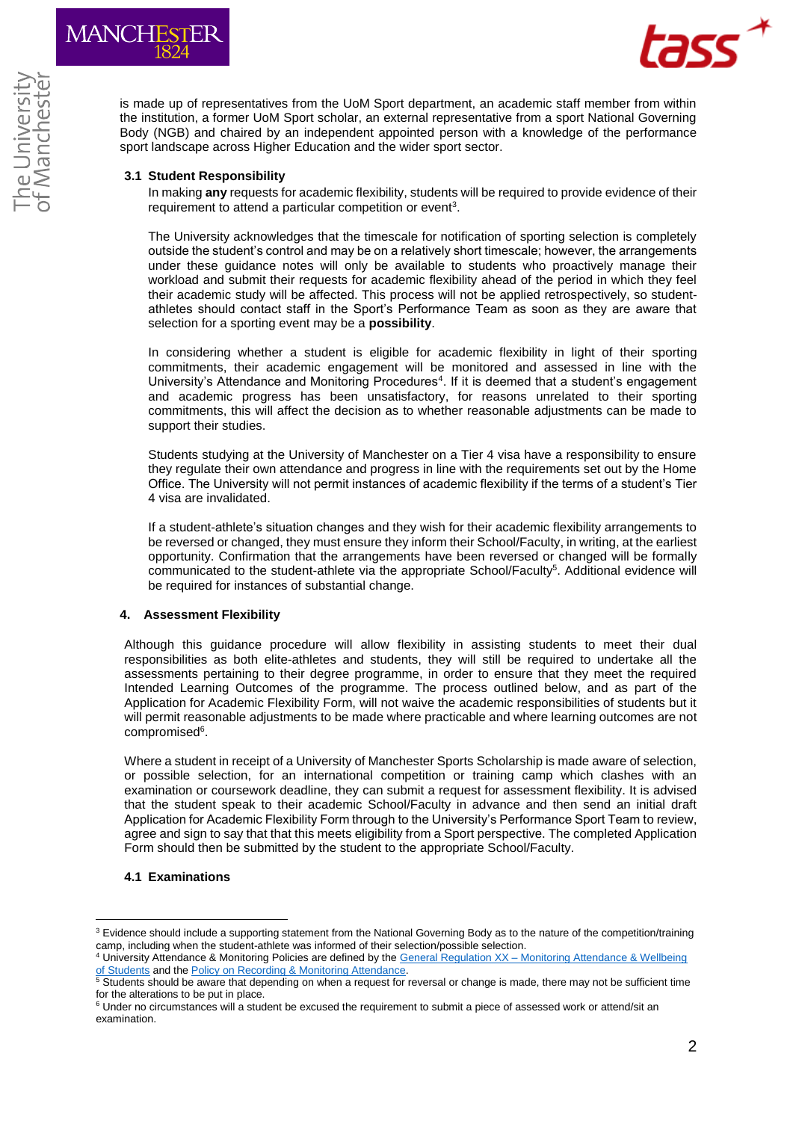



is made up of representatives from the UoM Sport department, an academic staff member from within the institution, a former UoM Sport scholar, an external representative from a sport National Governing Body (NGB) and chaired by an independent appointed person with a knowledge of the performance sport landscape across Higher Education and the wider sport sector.

### **3.1 Student Responsibility**

In making **any** requests for academic flexibility, students will be required to provide evidence of their requirement to attend a particular competition or event<sup>3</sup>.

The University acknowledges that the timescale for notification of sporting selection is completely outside the student's control and may be on a relatively short timescale; however, the arrangements under these guidance notes will only be available to students who proactively manage their workload and submit their requests for academic flexibility ahead of the period in which they feel their academic study will be affected. This process will not be applied retrospectively, so studentathletes should contact staff in the Sport's Performance Team as soon as they are aware that selection for a sporting event may be a **possibility**.

In considering whether a student is eligible for academic flexibility in light of their sporting commitments, their academic engagement will be monitored and assessed in line with the University's Attendance and Monitoring Procedures<sup>4</sup>. If it is deemed that a student's engagement and academic progress has been unsatisfactory, for reasons unrelated to their sporting commitments, this will affect the decision as to whether reasonable adjustments can be made to support their studies.

Students studying at the University of Manchester on a Tier 4 visa have a responsibility to ensure they regulate their own attendance and progress in line with the requirements set out by the Home Office. The University will not permit instances of academic flexibility if the terms of a student's Tier 4 visa are invalidated.

If a student-athlete's situation changes and they wish for their academic flexibility arrangements to be reversed or changed, they must ensure they inform their School/Faculty, in writing, at the earliest opportunity. Confirmation that the arrangements have been reversed or changed will be formally communicated to the student-athlete via the appropriate School/Faculty<sup>5</sup>. Additional evidence will be required for instances of substantial change.

#### **4. Assessment Flexibility**

Although this guidance procedure will allow flexibility in assisting students to meet their dual responsibilities as both elite-athletes and students, they will still be required to undertake all the assessments pertaining to their degree programme, in order to ensure that they meet the required Intended Learning Outcomes of the programme. The process outlined below, and as part of the Application for Academic Flexibility Form, will not waive the academic responsibilities of students but it will permit reasonable adjustments to be made where practicable and where learning outcomes are not compromised<sup>6</sup>.

Where a student in receipt of a University of Manchester Sports Scholarship is made aware of selection, or possible selection, for an international competition or training camp which clashes with an examination or coursework deadline, they can submit a request for assessment flexibility. It is advised that the student speak to their academic School/Faculty in advance and then send an initial draft Application for Academic Flexibility Form through to the University's Performance Sport Team to review, agree and sign to say that that this meets eligibility from a Sport perspective. The completed Application Form should then be submitted by the student to the appropriate School/Faculty.

#### **4.1 Examinations**

1

<sup>&</sup>lt;sup>3</sup> Evidence should include a supporting statement from the National Governing Body as to the nature of the competition/training camp, including when the student-athlete was informed of their selection/possible selection.

<sup>4</sup> University Attendance & Monitoring Policies are defined by the General Regulation XX – [Monitoring Attendance & Wellbeing](http://documents.manchester.ac.uk/display.aspx?DocID=1895)  [of Students](http://documents.manchester.ac.uk/display.aspx?DocID=1895) and the Policy on Recording & Monitoring Attendance.

<sup>&</sup>lt;sup>5</sup> Students should be aware that depending on when a request for reversal or change is made, there may not be sufficient time for the alterations to be put in place.

<sup>&</sup>lt;sup>6</sup> Under no circumstances will a student be excused the requirement to submit a piece of assessed work or attend/sit an examination.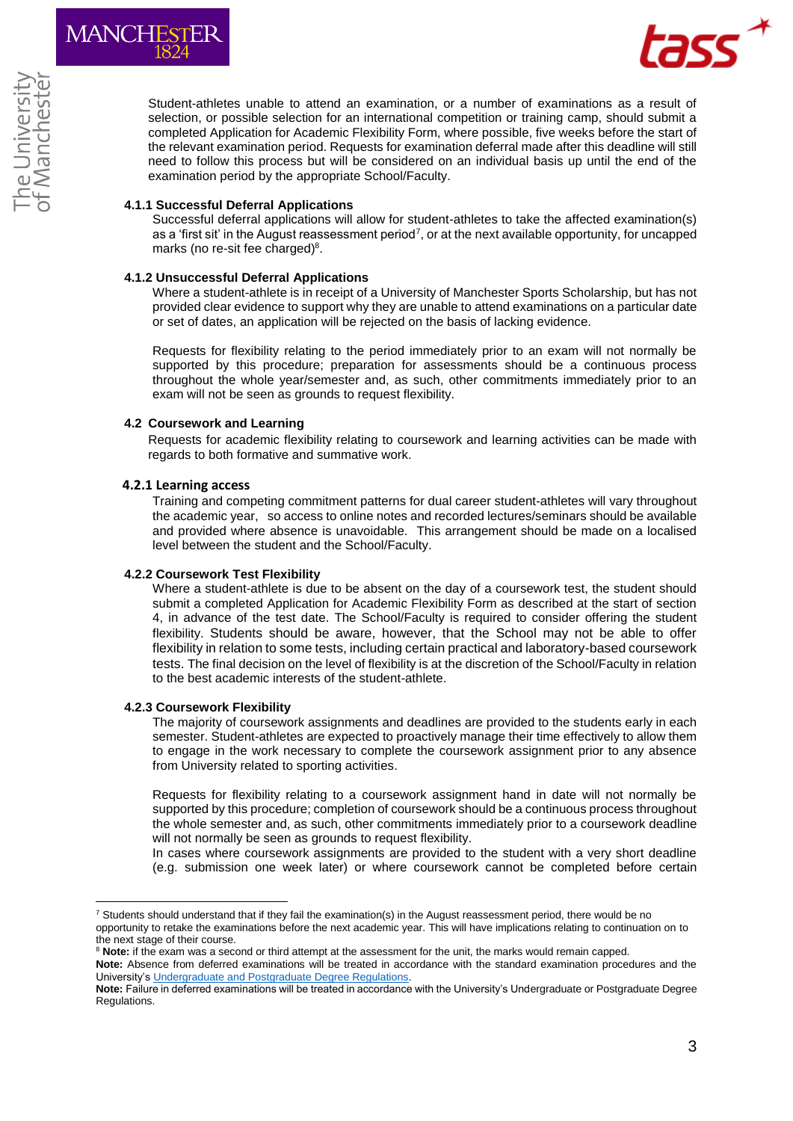

Student-athletes unable to attend an examination, or a number of examinations as a result of selection, or possible selection for an international competition or training camp, should submit a completed Application for Academic Flexibility Form, where possible, five weeks before the start of the relevant examination period. Requests for examination deferral made after this deadline will still need to follow this process but will be considered on an individual basis up until the end of the examination period by the appropriate School/Faculty.

## **4.1.1 Successful Deferral Applications**

Successful deferral applications will allow for student-athletes to take the affected examination(s) as a 'first sit' in the August reassessment period<sup>7</sup>, or at the next available opportunity, for uncapped marks (no re-sit fee charged)<sup>8</sup>.

## **4.1.2 Unsuccessful Deferral Applications**

Where a student-athlete is in receipt of a University of Manchester Sports Scholarship, but has not provided clear evidence to support why they are unable to attend examinations on a particular date or set of dates, an application will be rejected on the basis of lacking evidence.

Requests for flexibility relating to the period immediately prior to an exam will not normally be supported by this procedure; preparation for assessments should be a continuous process throughout the whole year/semester and, as such, other commitments immediately prior to an exam will not be seen as grounds to request flexibility.

## **4.2 Coursework and Learning**

Requests for academic flexibility relating to coursework and learning activities can be made with regards to both formative and summative work.

## **4.2.1 Learning access**

Training and competing commitment patterns for dual career student-athletes will vary throughout the academic year, so access to online notes and recorded lectures/seminars should be available and provided where absence is unavoidable. This arrangement should be made on a localised level between the student and the School/Faculty.

#### **4.2.2 Coursework Test Flexibility**

Where a student-athlete is due to be absent on the day of a coursework test, the student should submit a completed Application for Academic Flexibility Form as described at the start of section 4, in advance of the test date. The School/Faculty is required to consider offering the student flexibility. Students should be aware, however, that the School may not be able to offer flexibility in relation to some tests, including certain practical and laboratory-based coursework tests. The final decision on the level of flexibility is at the discretion of the School/Faculty in relation to the best academic interests of the student-athlete.

#### **4.2.3 Coursework Flexibility**

1

The majority of coursework assignments and deadlines are provided to the students early in each semester. Student-athletes are expected to proactively manage their time effectively to allow them to engage in the work necessary to complete the coursework assignment prior to any absence from University related to sporting activities.

Requests for flexibility relating to a coursework assignment hand in date will not normally be supported by this procedure; completion of coursework should be a continuous process throughout the whole semester and, as such, other commitments immediately prior to a coursework deadline will not normally be seen as grounds to request flexibility.

In cases where coursework assignments are provided to the student with a very short deadline (e.g. submission one week later) or where coursework cannot be completed before certain

 $7$  Students should understand that if they fail the examination(s) in the August reassessment period, there would be no opportunity to retake the examinations before the next academic year. This will have implications relating to continuation on to the next stage of their course.

<sup>&</sup>lt;sup>8</sup> Note: if the exam was a second or third attempt at the assessment for the unit, the marks would remain capped.

**Note:** Absence from deferred examinations will be treated in accordance with the standard examination procedures and the University's [Undergraduate and Postgraduate Degree Regulations.](https://www.staffnet.manchester.ac.uk/tlso/policy-guidance/degree-regulations/)

**Note:** Failure in deferred examinations will be treated in accordance with the University's Undergraduate or Postgraduate Degree Regulations.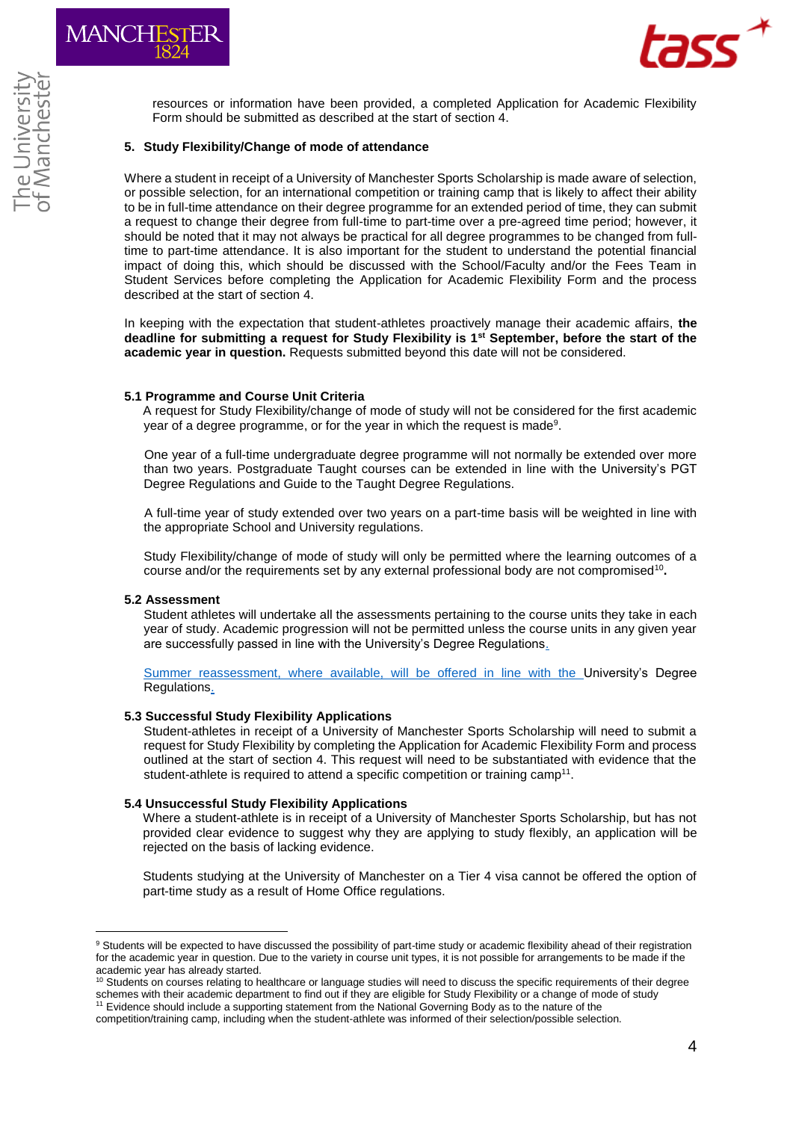

resources or information have been provided, a completed Application for Academic Flexibility Form should be submitted as described at the start of section 4.

#### **5. Study Flexibility/Change of mode of attendance**

Where a student in receipt of a University of Manchester Sports Scholarship is made aware of selection, or possible selection, for an international competition or training camp that is likely to affect their ability to be in full-time attendance on their degree programme for an extended period of time, they can submit a request to change their degree from full-time to part-time over a pre-agreed time period; however, it should be noted that it may not always be practical for all degree programmes to be changed from fulltime to part-time attendance. It is also important for the student to understand the potential financial impact of doing this, which should be discussed with the School/Faculty and/or the Fees Team in Student Services before completing the Application for Academic Flexibility Form and the process described at the start of section 4.

In keeping with the expectation that student-athletes proactively manage their academic affairs, **the deadline for submitting a request for Study Flexibility is 1st September, before the start of the academic year in question.** Requests submitted beyond this date will not be considered.

## **5.1 Programme and Course Unit Criteria**

A request for Study Flexibility/change of mode of study will not be considered for the first academic year of a degree programme, or for the year in which the request is made<sup>9</sup>.

One year of a full-time undergraduate degree programme will not normally be extended over more than two years. Postgraduate Taught courses can be extended in line with the University's PGT Degree Regulations and Guide to the Taught Degree Regulations.

A full-time year of study extended over two years on a part-time basis will be weighted in line with the appropriate School and University regulations.

Study Flexibility/change of mode of study will only be permitted where the learning outcomes of a course and/or the requirements set by any external professional body are not compromised<sup>10</sup>.

#### **5.2 Assessment**

Student athletes will undertake all the assessments pertaining to the course units they take in each year of study. Academic progression will not be permitted unless the course units in any given year are successfully passed in line with the University's Degree Regulations.

Summer reassessment, where available, will be offered in line with the University's Degree Regulations.

#### **5.3 Successful Study Flexibility Applications**

Student-athletes in receipt of a University of Manchester Sports Scholarship will need to submit a request for Study Flexibility by completing the Application for Academic Flexibility Form and process outlined at the start of section 4. This request will need to be substantiated with evidence that the student-athlete is required to attend a specific competition or training camp<sup>11</sup>.

## **5.4 Unsuccessful Study Flexibility Applications**

Where a student-athlete is in receipt of a University of Manchester Sports Scholarship, but has not provided clear evidence to suggest why they are applying to study flexibly, an application will be rejected on the basis of lacking evidence.

Students studying at the University of Manchester on a Tier 4 visa cannot be offered the option of part-time study as a result of Home Office regulations.

<sup>1</sup> <sup>9</sup> Students will be expected to have discussed the possibility of part-time study or academic flexibility ahead of their registration for the academic year in question. Due to the variety in course unit types, it is not possible for arrangements to be made if the academic year has already started.

<sup>&</sup>lt;sup>10</sup> Students on courses relating to healthcare or language studies will need to discuss the specific requirements of their degree schemes with their academic department to find out if they are eligible for Study Flexibility or a change of mode of study <sup>11</sup> Evidence should include a supporting statement from the National Governing Body as to the nature of the

competition/training camp, including when the student-athlete was informed of their selection/possible selection.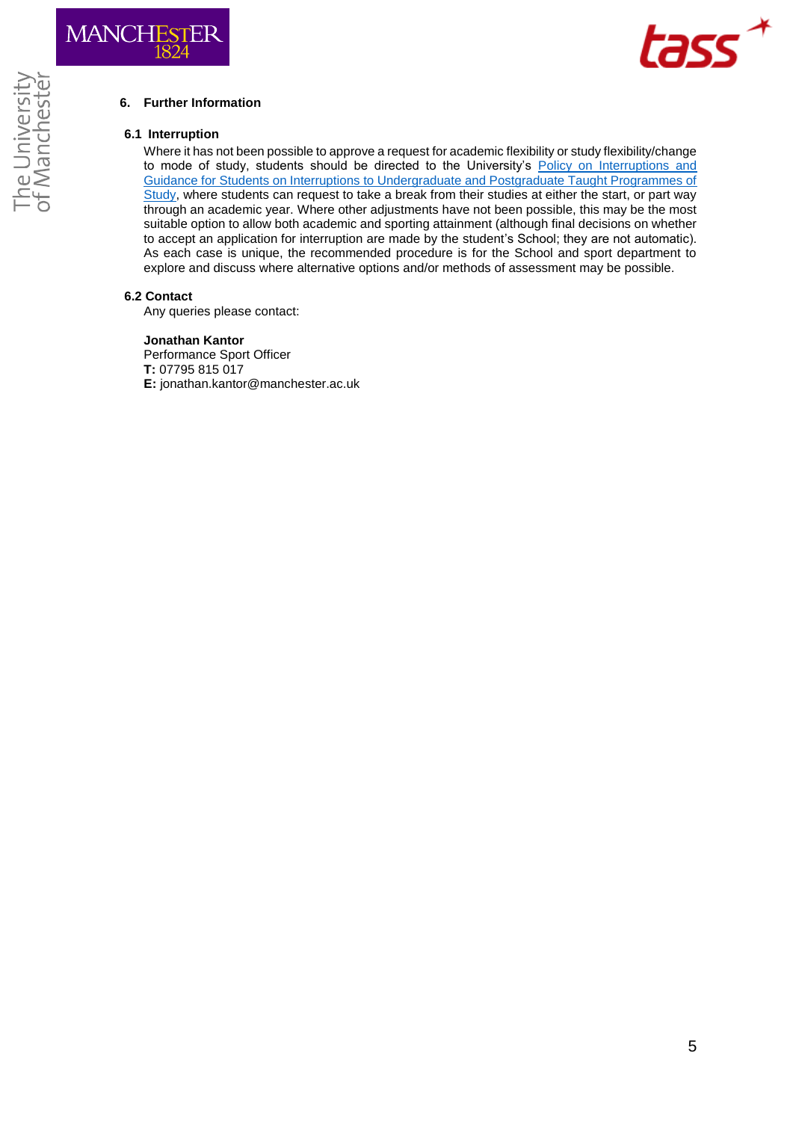

# **6. Further Information**

#### **6.1 Interruption**

Where it has not been possible to approve a request for academic flexibility or study flexibility/change to mode of study, students should be directed to the University's [Policy on Interruptions and](https://www.staffnet.manchester.ac.uk/tlso/policy-guidance/teaching-and-learning/learning/interruptions/)  [Guidance for Students on Interruptions to Undergraduate and Postgraduate Taught Programmes of](https://www.staffnet.manchester.ac.uk/tlso/policy-guidance/teaching-and-learning/learning/interruptions/)  [Study,](https://www.staffnet.manchester.ac.uk/tlso/policy-guidance/teaching-and-learning/learning/interruptions/) where students can request to take a break from their studies at either the start, or part way through an academic year. Where other adjustments have not been possible, this may be the most suitable option to allow both academic and sporting attainment (although final decisions on whether to accept an application for interruption are made by the student's School; they are not automatic). As each case is unique, the recommended procedure is for the School and sport department to explore and discuss where alternative options and/or methods of assessment may be possible.

## **6.2 Contact**

Any queries please contact:

#### **Jonathan Kantor**

Performance Sport Officer **T:** 07795 815 017 **E:** jonathan.kantor@manchester.ac.uk